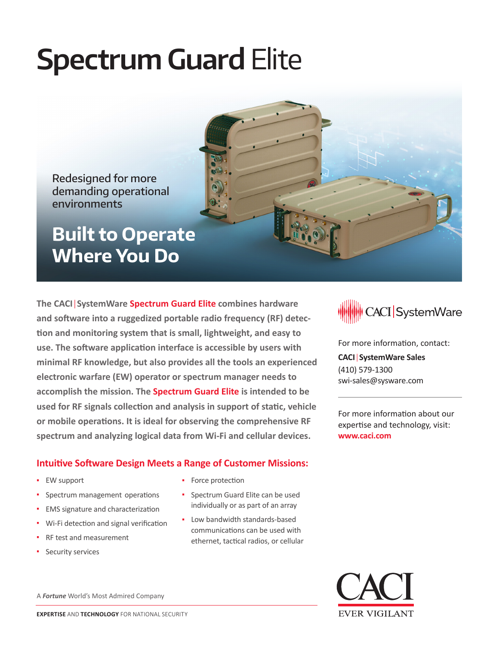# **Spectrum Guard Elite**

Redesigned for more demanding operational environments

**Built to Operate Where You Do**

**The CACI**|**SystemWare Spectrum Guard Elite combines hardware and software into a ruggedized portable radio frequency (RF) detection and monitoring system that is small, lightweight, and easy to use. The software application interface is accessible by users with minimal RF knowledge, but also provides all the tools an experienced electronic warfare (EW) operator or spectrum manager needs to accomplish the mission. The Spectrum Guard Elite is intended to be used for RF signals collection and analysis in support of static, vehicle or mobile operations. It is ideal for observing the comprehensive RF spectrum and analyzing logical data from Wi-Fi and cellular devices.**

## **Intuitive Software Design Meets a Range of Customer Missions:**

- EW support
- Spectrum management operations
- **EMS signature and characterization**
- Wi-Fi detection and signal verification
- RF test and measurement
- Security services

• Force protection

- Spectrum Guard Elite can be used individually or as part of an array
- Low bandwidth standards-based communications can be used with ethernet, tactical radios, or cellular



For more information, contact:

**CACI**|**SystemWare Sales** (410) 579-1300 swi-sales@sysware.com

For more information about our expertise and technology, visit: **www.caci.com**



A *Fortune* World's Most Admired Company